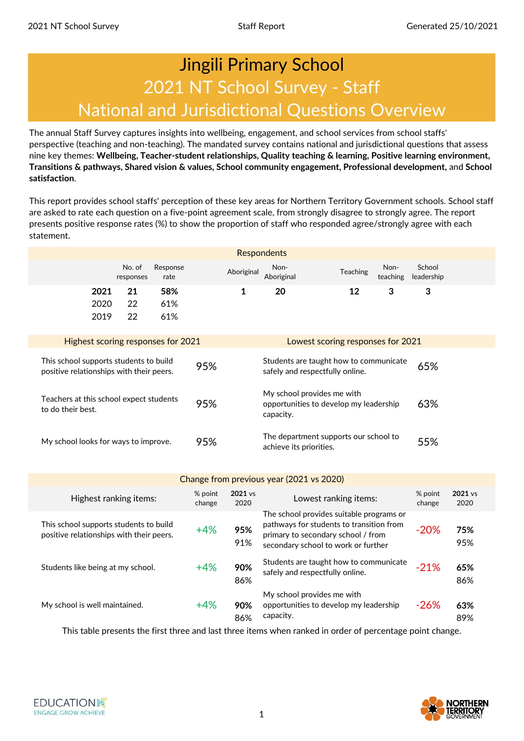## National and Jurisdictional Questions Overview 2021 NT School Survey - Staff Jingili Primary School

The annual Staff Survey captures insights into wellbeing, engagement, and school services from school staffs' perspective (teaching and non-teaching). The mandated survey contains national and jurisdictional questions that assess nine key themes: **Wellbeing, Teacher-student relationships, Quality teaching & learning, Positive learning environment, Transitions & pathways, Shared vision & values, School community engagement, Professional development,** and **School satisfaction**.

This report provides school staffs' perception of these key areas for Northern Territory Government schools. School staff are asked to rate each question on a five-point agreement scale, from strongly disagree to strongly agree. The report presents positive response rates (%) to show the proportion of staff who responded agree/strongly agree with each statement.

|                                                                                                                                                                        |                                                                                                                                     |                   |                   |                 | <b>Respondents</b>                                               |                                                                                      |                  |                      |                 |
|------------------------------------------------------------------------------------------------------------------------------------------------------------------------|-------------------------------------------------------------------------------------------------------------------------------------|-------------------|-------------------|-----------------|------------------------------------------------------------------|--------------------------------------------------------------------------------------|------------------|----------------------|-----------------|
|                                                                                                                                                                        | No. of<br>responses                                                                                                                 | Response<br>rate  |                   | Aboriginal      | Non-<br>Aboriginal                                               | Teaching                                                                             | Non-<br>teaching | School<br>leadership |                 |
| 2021<br>2020<br>2019                                                                                                                                                   | 21<br>22<br>22                                                                                                                      | 58%<br>61%<br>61% |                   | 1               | 20                                                               | 12                                                                                   | 3                | 3                    |                 |
| Highest scoring responses for 2021                                                                                                                                     |                                                                                                                                     |                   |                   |                 |                                                                  | Lowest scoring responses for 2021                                                    |                  |                      |                 |
| This school supports students to build<br>Students are taught how to communicate<br>95%<br>positive relationships with their peers.<br>safely and respectfully online. |                                                                                                                                     |                   |                   |                 |                                                                  | 65%                                                                                  |                  |                      |                 |
| to do their best.                                                                                                                                                      | My school provides me with<br>Teachers at this school expect students<br>95%<br>opportunities to develop my leadership<br>capacity. |                   |                   | 63%             |                                                                  |                                                                                      |                  |                      |                 |
| My school looks for ways to improve.                                                                                                                                   |                                                                                                                                     |                   | 95%               |                 | The department supports our school to<br>achieve its priorities. |                                                                                      |                  | 55%                  |                 |
|                                                                                                                                                                        |                                                                                                                                     |                   |                   |                 | Change from previous year (2021 vs 2020)                         |                                                                                      |                  |                      |                 |
| Highest ranking items:                                                                                                                                                 |                                                                                                                                     |                   | % point<br>change | 2021 vs<br>2020 |                                                                  | Lowest ranking items:                                                                |                  | % point<br>change    | 2021 vs<br>2020 |
| This school supports students to build                                                                                                                                 |                                                                                                                                     |                   | $\sqrt{0}$        | OE <sub>0</sub> |                                                                  | The school provides suitable programs or<br>pathways for students to transition from |                  | 200                  | 750/            |

| THIS SCHOOL Supports Students to build<br>positive relationships with their peers. | $+4%$ | 95%<br>91% | patriways for students to transition from<br>primary to secondary school / from<br>secondary school to work or further | $-20%$ | 75%<br>95% |
|------------------------------------------------------------------------------------|-------|------------|------------------------------------------------------------------------------------------------------------------------|--------|------------|
| Students like being at my school.                                                  | $+4%$ | 90%<br>86% | Students are taught how to communicate<br>safely and respectfully online.                                              | $-21%$ | 65%<br>86% |
| My school is well maintained.                                                      | $+4%$ | 90%<br>86% | My school provides me with<br>opportunities to develop my leadership<br>capacity.                                      | $-26%$ | 63%<br>89% |

This table presents the first three and last three items when ranked in order of percentage point change.

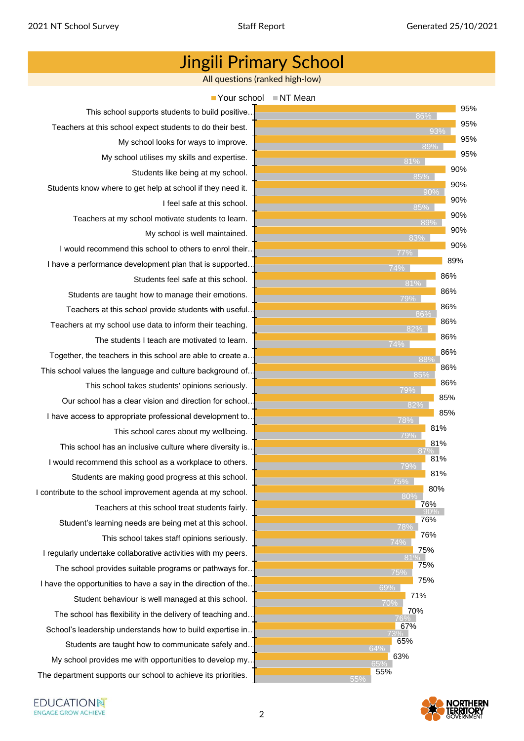All questions (ranked high-low)



This school supports students to build positive… Teachers at this school expect students to do their best. My school looks for ways to improve. My school utilises my skills and expertise. Students like being at my school. Students know where to get help at school if they need it. I feel safe at this school. Teachers at my school motivate students to learn. My school is well maintained. I would recommend this school to others to enrol their… I have a performance development plan that is supported. Students feel safe at this school. Students are taught how to manage their emotions. Teachers at this school provide students with useful… Teachers at my school use data to inform their teaching. The students I teach are motivated to learn. Together, the teachers in this school are able to create a… This school values the language and culture background of… This school takes students' opinions seriously. Our school has a clear vision and direction for school… I have access to appropriate professional development to… This school cares about my wellbeing. This school has an inclusive culture where diversity is… I would recommend this school as a workplace to others. Students are making good progress at this school. I contribute to the school improvement agenda at my school. Teachers at this school treat students fairly. Student's learning needs are being met at this school. This school takes staff opinions seriously. I regularly undertake collaborative activities with my peers. The school provides suitable programs or pathways for… I have the opportunities to have a say in the direction of the. Student behaviour is well managed at this school. The school has flexibility in the delivery of teaching and… School's leadership understands how to build expertise in. Students are taught how to communicate safely and… My school provides me with opportunities to develop my…

The department supports our school to achieve its priorities.

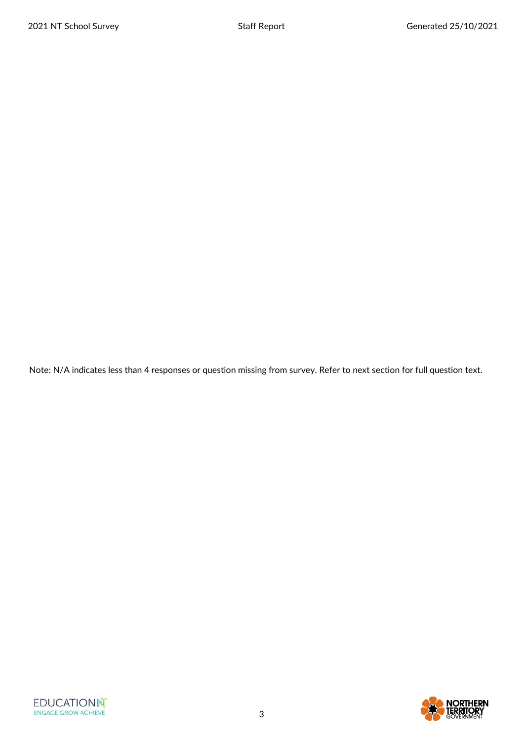Note: N/A indicates less than 4 responses or question missing from survey. Refer to next section for full question text.

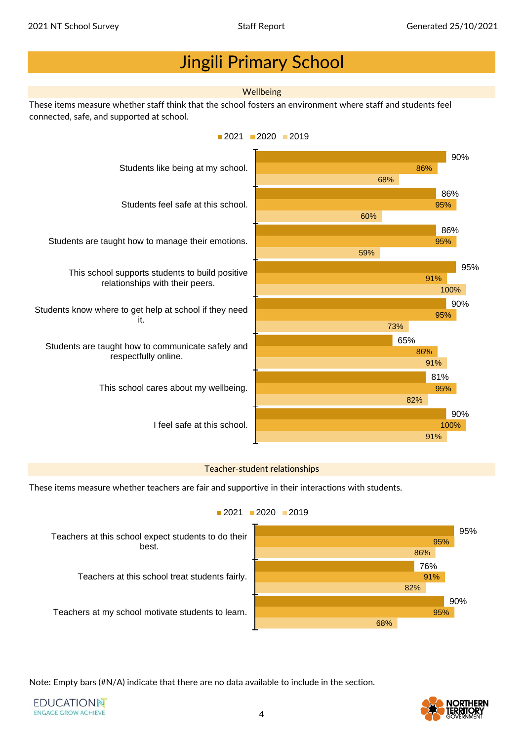#### **Wellbeing**

These items measure whether staff think that the school fosters an environment where staff and students feel connected, safe, and supported at school.



#### Teacher-student relationships

These items measure whether teachers are fair and supportive in their interactions with students.



#### $2021$  2020 2019

Note: Empty bars (#N/A) indicate that there are no data available to include in the section.

**EDUCATIONN** ENGAGE GROW ACHIEVE

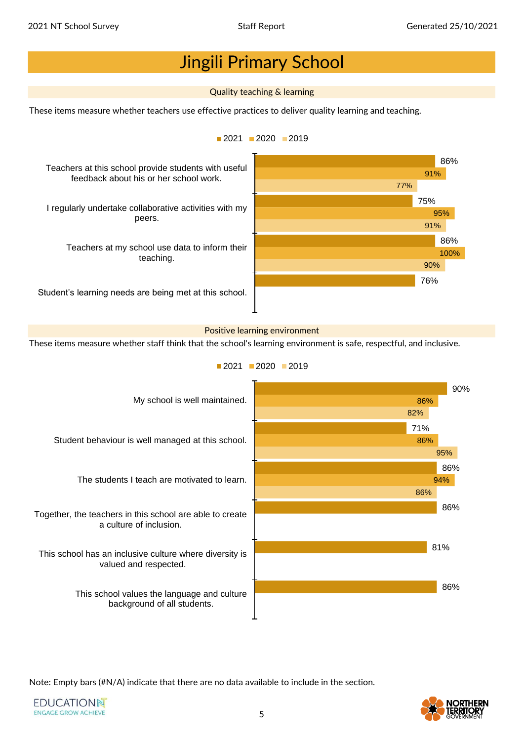#### Quality teaching & learning

These items measure whether teachers use effective practices to deliver quality learning and teaching.



#### Positive learning environment

These items measure whether staff think that the school's learning environment is safe, respectful, and inclusive.



 $2021$  2020 2019

Note: Empty bars (#N/A) indicate that there are no data available to include in the section.

**EDUCATIONN** ENGAGE GROW ACHIEVE

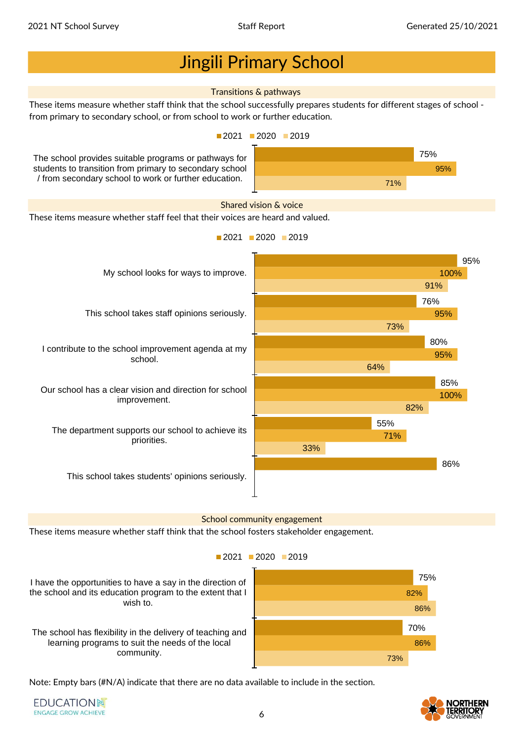

The school has flexibility in the delivery of teaching and learning programs to suit the needs of the local community.

70% 86% 73%

Note: Empty bars (#N/A) indicate that there are no data available to include in the section.

**EDUCATIONN** ENGAGE GROW ACHIEVE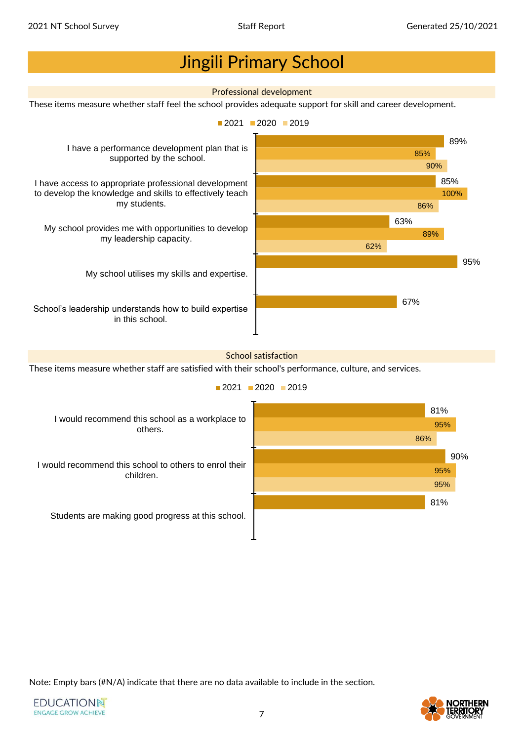

 $2021$  2020 2019



Note: Empty bars (#N/A) indicate that there are no data available to include in the section.

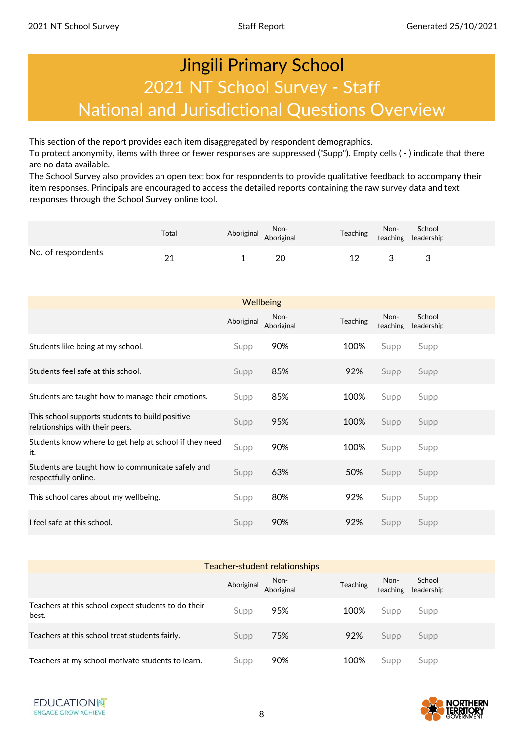## Jingili Primary School 2021 NT School Survey - Staff National and Jurisdictional Questions Overview

This section of the report provides each item disaggregated by respondent demographics.

To protect anonymity, items with three or fewer responses are suppressed ("Supp"). Empty cells ( - ) indicate that there are no data available.

The School Survey also provides an open text box for respondents to provide qualitative feedback to accompany their item responses. Principals are encouraged to access the detailed reports containing the raw survey data and text responses through the School Survey online tool.

|                    | Total | Non-<br>Aboriginal Aboriginal |    | Teaching | Non- School<br>teaching leadership |
|--------------------|-------|-------------------------------|----|----------|------------------------------------|
| No. of respondents | ິ     |                               | 20 |          |                                    |

|                                                                                    | <b>Wellbeing</b> |                    |          |                  |                      |  |  |  |  |
|------------------------------------------------------------------------------------|------------------|--------------------|----------|------------------|----------------------|--|--|--|--|
|                                                                                    | Aboriginal       | Non-<br>Aboriginal | Teaching | Non-<br>teaching | School<br>leadership |  |  |  |  |
| Students like being at my school.                                                  | Supp             | 90%                | 100%     | Supp             | Supp                 |  |  |  |  |
| Students feel safe at this school.                                                 | Supp             | 85%                | 92%      | Supp             | Supp                 |  |  |  |  |
| Students are taught how to manage their emotions.                                  | Supp             | 85%                | 100%     | Supp             | Supp                 |  |  |  |  |
| This school supports students to build positive<br>relationships with their peers. | Supp             | 95%                | 100%     | Supp             | Supp                 |  |  |  |  |
| Students know where to get help at school if they need<br>it.                      | Supp             | 90%                | 100%     | Supp             | Supp                 |  |  |  |  |
| Students are taught how to communicate safely and<br>respectfully online.          | Supp             | 63%                | 50%      | Supp             | Supp                 |  |  |  |  |
| This school cares about my wellbeing.                                              | Supp             | 80%                | 92%      | Supp             | Supp                 |  |  |  |  |
| I feel safe at this school.                                                        | Supp             | 90%                | 92%      | Supp             | Supp                 |  |  |  |  |

| Teacher-student relationships                                |            |                    |                 |                  |                      |  |  |
|--------------------------------------------------------------|------------|--------------------|-----------------|------------------|----------------------|--|--|
|                                                              | Aboriginal | Non-<br>Aboriginal | <b>Teaching</b> | Non-<br>teaching | School<br>leadership |  |  |
| Teachers at this school expect students to do their<br>best. | Supp       | 95%                | 100%            | Supp             | Supp                 |  |  |
| Teachers at this school treat students fairly.               | Supp       | 75%                | 92%             | Supp             | Supp                 |  |  |
| Teachers at my school motivate students to learn.            | Supp       | 90%                | 100%            | Supp             | Supp                 |  |  |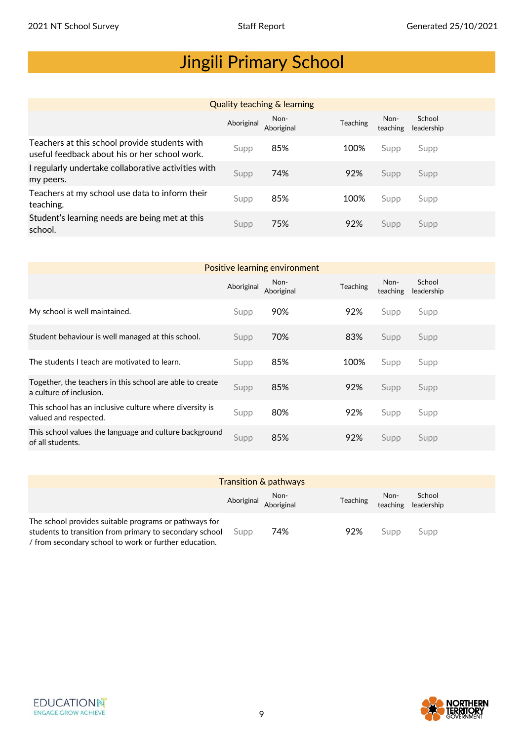| <b>Quality teaching &amp; learning</b>                                                         |            |                    |          |                  |                      |  |  |  |
|------------------------------------------------------------------------------------------------|------------|--------------------|----------|------------------|----------------------|--|--|--|
|                                                                                                | Aboriginal | Non-<br>Aboriginal | Teaching | Non-<br>teaching | School<br>leadership |  |  |  |
| Teachers at this school provide students with<br>useful feedback about his or her school work. | Supp       | 85%                | 100%     | Supp             | Supp                 |  |  |  |
| I regularly undertake collaborative activities with<br>my peers.                               | Supp       | 74%                | 92%      | Supp             | Supp                 |  |  |  |
| Teachers at my school use data to inform their<br>teaching.                                    | Supp       | 85%                | 100%     | Supp             | Supp                 |  |  |  |
| Student's learning needs are being met at this<br>school.                                      | Supp       | 75%                | 92%      | Supp             | Supp                 |  |  |  |

| Positive learning environment                                                       |            |                    |          |                  |                      |  |  |  |  |
|-------------------------------------------------------------------------------------|------------|--------------------|----------|------------------|----------------------|--|--|--|--|
|                                                                                     | Aboriginal | Non-<br>Aboriginal | Teaching | Non-<br>teaching | School<br>leadership |  |  |  |  |
| My school is well maintained.                                                       | Supp       | 90%                | 92%      | Supp             | Supp                 |  |  |  |  |
| Student behaviour is well managed at this school.                                   | Supp       | 70%                | 83%      | Supp             | Supp                 |  |  |  |  |
| The students I teach are motivated to learn.                                        | Supp       | 85%                | 100%     | Supp             | Supp                 |  |  |  |  |
| Together, the teachers in this school are able to create<br>a culture of inclusion. | Supp       | 85%                | 92%      | Supp             | Supp                 |  |  |  |  |
| This school has an inclusive culture where diversity is<br>valued and respected.    | Supp       | 80%                | 92%      | Supp             | Supp                 |  |  |  |  |
| This school values the language and culture background<br>of all students.          | Supp       | 85%                | 92%      | Supp             | Supp                 |  |  |  |  |

|                                                                                                                                                                           |      | <b>Transition &amp; pathways</b> |                 |      |                               |
|---------------------------------------------------------------------------------------------------------------------------------------------------------------------------|------|----------------------------------|-----------------|------|-------------------------------|
|                                                                                                                                                                           |      | Non-<br>Aboriginal Aboriginal    | <b>Teaching</b> | Non- | School<br>teaching leadership |
| The school provides suitable programs or pathways for<br>students to transition from primary to secondary school<br>/ from secondary school to work or further education. | Supp | 74%                              | 92%             | Supp | Supp                          |



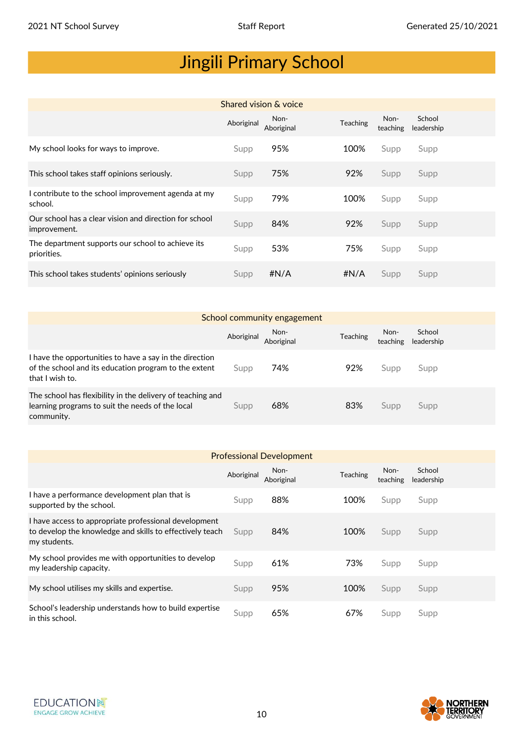| Shared vision & voice                                                  |            |                    |          |                  |                      |  |  |  |
|------------------------------------------------------------------------|------------|--------------------|----------|------------------|----------------------|--|--|--|
|                                                                        | Aboriginal | Non-<br>Aboriginal | Teaching | Non-<br>teaching | School<br>leadership |  |  |  |
| My school looks for ways to improve.                                   | Supp       | 95%                | 100%     | Supp             | Supp                 |  |  |  |
| This school takes staff opinions seriously.                            | Supp       | 75%                | 92%      | Supp             | Supp                 |  |  |  |
| I contribute to the school improvement agenda at my<br>school.         | Supp       | 79%                | 100%     | Supp             | Supp                 |  |  |  |
| Our school has a clear vision and direction for school<br>improvement. | Supp       | 84%                | 92%      | Supp             | Supp                 |  |  |  |
| The department supports our school to achieve its<br>priorities.       | Supp       | 53%                | 75%      | Supp             | Supp                 |  |  |  |
| This school takes students' opinions seriously                         | Supp       | #N/A               | #N/A     | Supp             | Supp                 |  |  |  |

| School community engagement                                                                                                         |            |                    |                 |                  |                      |  |  |  |
|-------------------------------------------------------------------------------------------------------------------------------------|------------|--------------------|-----------------|------------------|----------------------|--|--|--|
|                                                                                                                                     | Aboriginal | Non-<br>Aboriginal | <b>Teaching</b> | Non-<br>teaching | School<br>leadership |  |  |  |
| I have the opportunities to have a say in the direction<br>of the school and its education program to the extent<br>that I wish to. | Supp       | 74%                | 92%             | Supp             | Supp                 |  |  |  |
| The school has flexibility in the delivery of teaching and<br>learning programs to suit the needs of the local<br>community.        | Supp       | 68%                | 83%             | Supp             | Supp                 |  |  |  |

| <b>Professional Development</b>                                                                                                   |            |                    |          |                  |                      |  |  |  |
|-----------------------------------------------------------------------------------------------------------------------------------|------------|--------------------|----------|------------------|----------------------|--|--|--|
|                                                                                                                                   | Aboriginal | Non-<br>Aboriginal | Teaching | Non-<br>teaching | School<br>leadership |  |  |  |
| I have a performance development plan that is<br>supported by the school.                                                         | Supp       | 88%                | 100%     | Supp             | Supp                 |  |  |  |
| I have access to appropriate professional development<br>to develop the knowledge and skills to effectively teach<br>my students. | Supp       | 84%                | 100%     | Supp             | Supp                 |  |  |  |
| My school provides me with opportunities to develop<br>my leadership capacity.                                                    | Supp       | 61%                | 73%      | Supp             | Supp                 |  |  |  |
| My school utilises my skills and expertise.                                                                                       | Supp       | 95%                | 100%     | Supp             | Supp                 |  |  |  |
| School's leadership understands how to build expertise<br>in this school.                                                         | Supp       | 65%                | 67%      | Supp             | Supp                 |  |  |  |



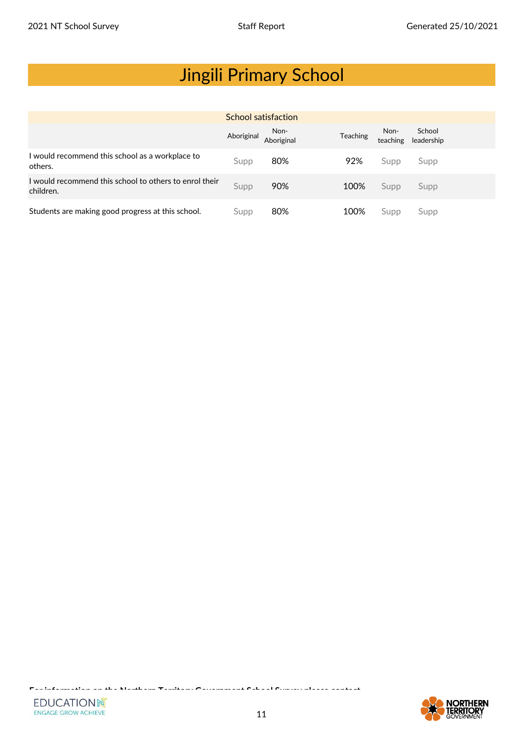| School satisfaction                                                 |            |                    |                 |                  |                      |  |  |  |
|---------------------------------------------------------------------|------------|--------------------|-----------------|------------------|----------------------|--|--|--|
|                                                                     | Aboriginal | Non-<br>Aboriginal | <b>Teaching</b> | Non-<br>teaching | School<br>leadership |  |  |  |
| I would recommend this school as a workplace to<br>others.          | Supp       | 80%                | 92%             | Supp             | Supp                 |  |  |  |
| I would recommend this school to others to enrol their<br>children. | Supp       | 90%                | 100%            | Supp             | Supp                 |  |  |  |
| Students are making good progress at this school.                   | Supp       | 80%                | 100%            | Supp             | Supp                 |  |  |  |

**For information on the Northern Territory Government School Survey please contact**